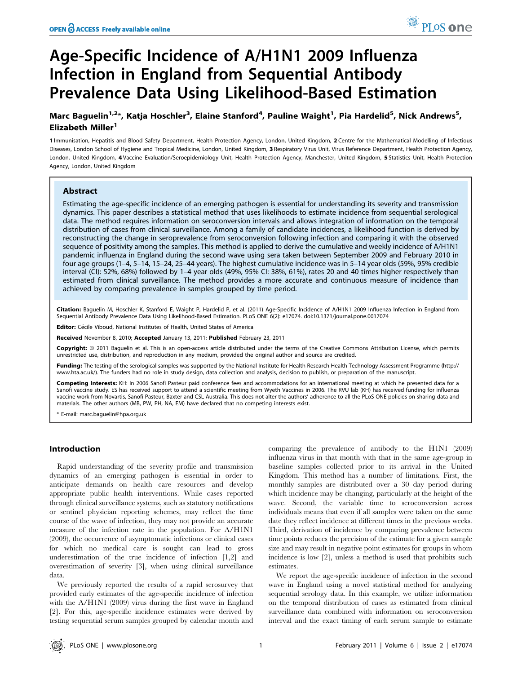# Age-Specific Incidence of A/H1N1 2009 Influenza Infection in England from Sequential Antibody Prevalence Data Using Likelihood-Based Estimation

## Marc Baguelin<sup>1,2</sup>\*, Katja Hoschler<sup>3</sup>, Elaine Stanford<sup>4</sup>, Pauline Waight<sup>1</sup>, Pia Hardelid<sup>5</sup>, Nick Andrews<sup>5</sup>, Elizabeth Miller<sup>1</sup>

1 Immunisation, Hepatitis and Blood Safety Department, Health Protection Agency, London, United Kingdom, 2 Centre for the Mathematical Modelling of Infectious Diseases, London School of Hygiene and Tropical Medicine, London, United Kingdom, 3 Respiratory Virus Unit, Virus Reference Department, Health Protection Agency, London, United Kingdom, 4 Vaccine Evaluation/Seroepidemiology Unit, Health Protection Agency, Manchester, United Kingdom, 5 Statistics Unit, Health Protection Agency, London, United Kingdom

## Abstract

Estimating the age-specific incidence of an emerging pathogen is essential for understanding its severity and transmission dynamics. This paper describes a statistical method that uses likelihoods to estimate incidence from sequential serological data. The method requires information on seroconversion intervals and allows integration of information on the temporal distribution of cases from clinical surveillance. Among a family of candidate incidences, a likelihood function is derived by reconstructing the change in seroprevalence from seroconversion following infection and comparing it with the observed sequence of positivity among the samples. This method is applied to derive the cumulative and weekly incidence of A/H1N1 pandemic influenza in England during the second wave using sera taken between September 2009 and February 2010 in four age groups (1–4, 5–14, 15–24, 25–44 years). The highest cumulative incidence was in 5–14 year olds (59%, 95% credible interval (CI): 52%, 68%) followed by 1–4 year olds (49%, 95% CI: 38%, 61%), rates 20 and 40 times higher respectively than estimated from clinical surveillance. The method provides a more accurate and continuous measure of incidence than achieved by comparing prevalence in samples grouped by time period.

Citation: Baguelin M, Hoschler K, Stanford E, Waight P, Hardelid P, et al. (2011) Age-Specific Incidence of A/H1N1 2009 Influenza Infection in England from Sequential Antibody Prevalence Data Using Likelihood-Based Estimation. PLoS ONE 6(2): e17074. doi:10.1371/journal.pone.0017074

Editor: Cécile Viboud, National Institutes of Health, United States of America

Received November 8, 2010; Accepted January 13, 2011; Published February 23, 2011

**Copyright:** © 2011 Baguelin et al. This is an open-access article distributed under the terms of the Creative Commons Attribution License, which permits unrestricted use, distribution, and reproduction in any medium, provided the original author and source are credited.

Funding: The testing of the serological samples was supported by the National Institute for Health Research Health Technology Assessment Programme (http:// www.hta.ac.uk/). The funders had no role in study design, data collection and analysis, decision to publish, or preparation of the manuscript.

Competing Interests: KH: In 2006 Sanofi Pasteur paid conference fees and accommodations for an international meeting at which he presented data for a Sanofi vaccine study. ES has received support to attend a scientific meeting from Wyeth Vaccines in 2006. The RVU lab (KH) has received funding for influenza vaccine work from Novartis, Sanofi Pasteur, Baxter and CSL Australia. This does not alter the authors' adherence to all the PLoS ONE policies on sharing data and materials. The other authors (MB, PW, PH, NA, EM) have declared that no competing interests exist.

\* E-mail: marc.baguelin@hpa.org.uk

## Introduction

Rapid understanding of the severity profile and transmission dynamics of an emerging pathogen is essential in order to anticipate demands on health care resources and develop appropriate public health interventions. While cases reported through clinical surveillance systems, such as statutory notifications or sentinel physician reporting schemes, may reflect the time course of the wave of infection, they may not provide an accurate measure of the infection rate in the population. For A/H1N1 (2009), the occurrence of asymptomatic infections or clinical cases for which no medical care is sought can lead to gross underestimation of the true incidence of infection [1,2] and overestimation of severity [3], when using clinical surveillance data.

We previously reported the results of a rapid serosurvey that provided early estimates of the age-specific incidence of infection with the A/H1N1 (2009) virus during the first wave in England [2]. For this, age-specific incidence estimates were derived by testing sequential serum samples grouped by calendar month and comparing the prevalence of antibody to the H1N1 (2009) influenza virus in that month with that in the same age-group in baseline samples collected prior to its arrival in the United Kingdom. This method has a number of limitations. First, the monthly samples are distributed over a 30 day period during which incidence may be changing, particularly at the height of the wave. Second, the variable time to seroconversion across individuals means that even if all samples were taken on the same date they reflect incidence at different times in the previous weeks. Third, derivation of incidence by comparing prevalence between time points reduces the precision of the estimate for a given sample size and may result in negative point estimates for groups in whom incidence is low [2], unless a method is used that prohibits such estimates.

We report the age-specific incidence of infection in the second wave in England using a novel statistical method for analyzing sequential serology data. In this example, we utilize information on the temporal distribution of cases as estimated from clinical surveillance data combined with information on seroconversion interval and the exact timing of each serum sample to estimate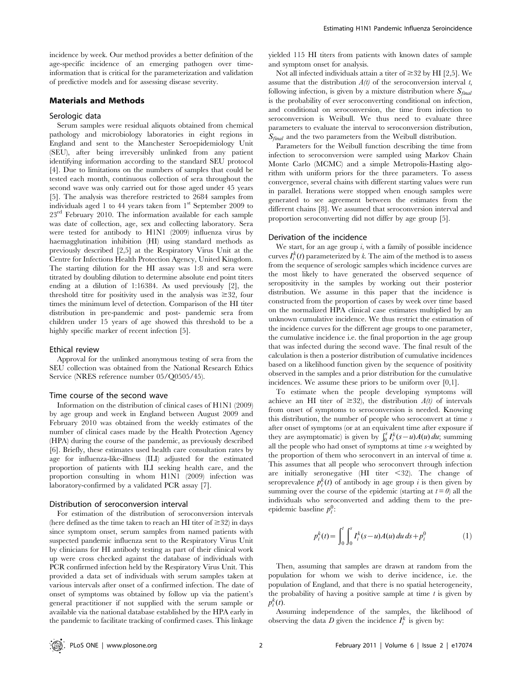incidence by week. Our method provides a better definition of the age-specific incidence of an emerging pathogen over timeinformation that is critical for the parameterization and validation of predictive models and for assessing disease severity.

## Materials and Methods

### Serologic data

Serum samples were residual aliquots obtained from chemical pathology and microbiology laboratories in eight regions in England and sent to the Manchester Seroepidemiology Unit (SEU), after being irreversibly unlinked from any patient identifying information according to the standard SEU protocol [4]. Due to limitations on the numbers of samples that could be tested each month, continuous collection of sera throughout the second wave was only carried out for those aged under 45 years [5]. The analysis was therefore restricted to 2684 samples from individuals aged 1 to 44 years taken from 1st September 2009 to  $23<sup>rd</sup>$  February 2010. The information available for each sample was date of collection, age, sex and collecting laboratory. Sera were tested for antibody to H1N1 (2009) influenza virus by haemagglutination inhibition (HI) using standard methods as previously described [2,5] at the Respiratory Virus Unit at the Centre for Infections Health Protection Agency, United Kingdom. The starting dilution for the HI assay was 1:8 and sera were titrated by doubling dilution to determine absolute end point titers ending at a dilution of 1:16384. As used previously [2], the threshold titre for positivity used in the analysis was  $\geq 32$ , four times the minimum level of detection. Comparison of the HI titer distribution in pre-pandemic and post- pandemic sera from children under 15 years of age showed this threshold to be a highly specific marker of recent infection [5].

## Ethical review

Approval for the unlinked anonymous testing of sera from the SEU collection was obtained from the National Research Ethics Service (NRES reference number 05/Q0505/45).

#### Time course of the second wave

Information on the distribution of clinical cases of H1N1 (2009) by age group and week in England between August 2009 and February 2010 was obtained from the weekly estimates of the number of clinical cases made by the Health Protection Agency (HPA) during the course of the pandemic, as previously described [6]. Briefly, these estimates used health care consultation rates by age for influenza-like-illness (ILI) adjusted for the estimated proportion of patients with ILI seeking health care, and the proportion consulting in whom H1N1 (2009) infection was laboratory-confirmed by a validated PCR assay [7].

#### Distribution of seroconversion interval

For estimation of the distribution of seroconversion intervals (here defined as the time taken to reach an HI titer of  $\geq 32$ ) in days since symptom onset, serum samples from named patients with suspected pandemic influenza sent to the Respiratory Virus Unit by clinicians for HI antibody testing as part of their clinical work up were cross checked against the database of individuals with PCR confirmed infection held by the Respiratory Virus Unit. This provided a data set of individuals with serum samples taken at various intervals after onset of a confirmed infection. The date of onset of symptoms was obtained by follow up via the patient's general practitioner if not supplied with the serum sample or available via the national database established by the HPA early in the pandemic to facilitate tracking of confirmed cases. This linkage

yielded 115 HI titers from patients with known dates of sample and symptom onset for analysis.

Not all infected individuals attain a titer of  $\geq$  32 by HI [2,5]. We assume that the distribution  $A(t)$  of the seroconversion interval t, following infection, is given by a mixture distribution where  $S_{final}$ is the probability of ever seroconverting conditional on infection, and conditional on seroconversion, the time from infection to seroconversion is Weibull. We thus need to evaluate three parameters to evaluate the interval to seroconversion distribution,  $S_{final}$  and the two parameters from the Weibull distribution.

Parameters for the Weibull function describing the time from infection to seroconversion were sampled using Markov Chain Monte Carlo (MCMC) and a simple Metropolis-Hasting algorithm with uniform priors for the three parameters. To assess convergence, several chains with different starting values were run in parallel. Iterations were stopped when enough samples were generated to see agreement between the estimates from the different chains [8]. We assumed that seroconversion interval and proportion seroconverting did not differ by age group [5].

#### Derivation of the incidence

We start, for an age group  $i$ , with a family of possible incidence curves  $I_i^k(t)$  parameterized by k. The aim of the method is to assess from the sequence of serologic samples which incidence curves are the most likely to have generated the observed sequence of seropositivity in the samples by working out their posterior distribution. We assume in this paper that the incidence is constructed from the proportion of cases by week over time based on the normalized HPA clinical case estimates multiplied by an unknown cumulative incidence. We thus restrict the estimation of the incidence curves for the different age groups to one parameter, the cumulative incidence i.e. the final proportion in the age group that was infected during the second wave. The final result of the calculation is then a posterior distribution of cumulative incidences based on a likelihood function given by the sequence of positivity observed in the samples and a prior distribution for the cumulative incidences. We assume these priors to be uniform over [0,1].

To estimate when the people developing symptoms will achieve an HI titer of  $\geq 32$ ), the distribution  $A(t)$  of intervals from onset of symptoms to seroconversion is needed. Knowing this distribution, the number of people who seroconvert at time  $s$ after onset of symptoms (or at an equivalent time after exposure if they are asymptomatic) is given by  $\int_0^s I_i^k(s-u)A(u) du$ ; summing all the people who had onset of symptoms at time  $s-u$  weighted by the proportion of them who seroconvert in an interval of time u. This assumes that all people who seroconvert through infection are initially seronegative (HI titer  $\langle 32 \rangle$ . The change of seroprevalence  $p_i^k(t)$  of antibody in age group *i* is then given by summing over the course of the epidemic (starting at  $t=0$ ) all the individuals who seroconverted and adding them to the preepidemic baseline  $p_i^0$ :

$$
p_i^k(t) = \int_0^t \int_0^s I_i^k(s-u)A(u) du ds + p_i^0
$$
 (1)

Then, assuming that samples are drawn at random from the population for whom we wish to derive incidence, i.e. the population of England, and that there is no spatial heterogeneity, the probability of having a positive sample at time  $t$  is given by  $p_i^k(t)$ .

Assuming independence of the samples, the likelihood of observing the data D given the incidence  $I_i^k$  is given by: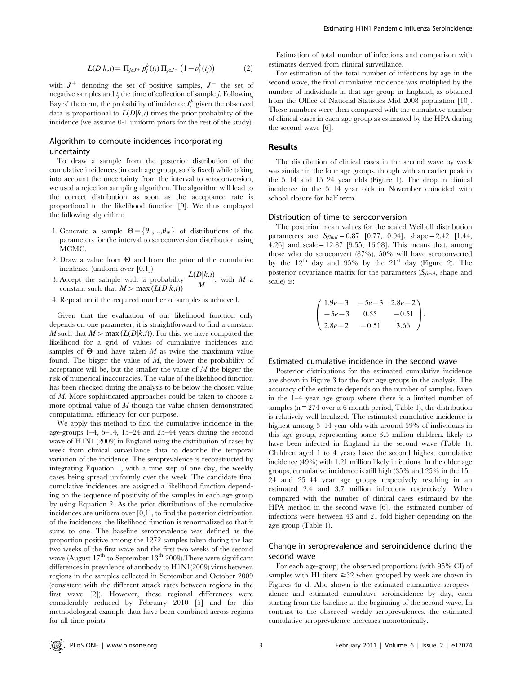$$
L(D|k,i) = \Pi_{j \in J^+} p_i^k(t_j) \Pi_{j \in J^-} (1 - p_i^k(t_j))
$$
 (2)

with  $J^+$  denoting the set of positive samples,  $J^-$  the set of negative samples and  $t_i$  the time of collection of sample  $j$ . Following Bayes' theorem, the probability of incidence  $I_i^k$  given the observed data is proportional to  $L(D|k,i)$  times the prior probability of the incidence (we assume 0-1 uniform priors for the rest of the study).

## Algorithm to compute incidences incorporating uncertainty

To draw a sample from the posterior distribution of the cumulative incidences (in each age group, so  $i$  is fixed) while taking into account the uncertainty from the interval to seroconversion, we used a rejection sampling algorithm. The algorithm will lead to the correct distribution as soon as the acceptance rate is proportional to the likelihood function [9]. We thus employed the following algorithm:

- 1. Generate a sample  $\Theta = {\theta_1,...,\theta_N}$  of distributions of the parameters for the interval to seroconversion distribution using MCMC.
- 2. Draw a value from  $\Theta$  and from the prior of the cumulative incidence (uniform over [0,1])
- 3. Accept the sample with a probability  $\frac{L(D|k,i)}{M}$ , with M a constant such that  $M > \max(L(D|k,i))$
- 4. Repeat until the required number of samples is achieved.

Given that the evaluation of our likelihood function only depends on one parameter, it is straightforward to find a constant M such that  $M > \max (L(D|k,i))$ . For this, we have computed the likelihood for a grid of values of cumulative incidences and samples of  $\Theta$  and have taken M as twice the maximum value found. The bigger the value of M, the lower the probability of acceptance will be, but the smaller the value of  $M$  the bigger the risk of numerical inaccuracies. The value of the likelihood function has been checked during the analysis to be below the chosen value of M. More sophisticated approaches could be taken to choose a more optimal value of  $M$  though the value chosen demonstrated computational efficiency for our purpose.

We apply this method to find the cumulative incidence in the age-groups 1–4, 5–14, 15–24 and 25–44 years during the second wave of H1N1 (2009) in England using the distribution of cases by week from clinical surveillance data to describe the temporal variation of the incidence. The seroprevalence is reconstructed by integrating Equation 1, with a time step of one day, the weekly cases being spread uniformly over the week. The candidate final cumulative incidences are assigned a likelihood function depending on the sequence of positivity of the samples in each age group by using Equation 2. As the prior distributions of the cumulative incidences are uniform over  $[0,1]$ , to find the posterior distribution of the incidences, the likelihood function is renormalized so that it sums to one. The baseline seroprevalence was defined as the proportion positive among the 1272 samples taken during the last two weeks of the first wave and the first two weeks of the second wave (August  $17<sup>th</sup>$  to September  $13<sup>th</sup>$  2009). There were significant differences in prevalence of antibody to H1N1(2009) virus between regions in the samples collected in September and October 2009 (consistent with the different attack rates between regions in the first wave [2]). However, these regional differences were considerably reduced by February 2010 [5] and for this methodological example data have been combined across regions for all time points.

Estimation of total number of infections and comparison with estimates derived from clinical surveillance.

For estimation of the total number of infections by age in the second wave, the final cumulative incidence was multiplied by the number of individuals in that age group in England, as obtained from the Office of National Statistics Mid 2008 population [10]. These numbers were then compared with the cumulative number of clinical cases in each age group as estimated by the HPA during the second wave [6].

## Results

The distribution of clinical cases in the second wave by week was similar in the four age groups, though with an earlier peak in the 5–14 and 15–24 year olds (Figure 1). The drop in clinical incidence in the 5–14 year olds in November coincided with school closure for half term.

## Distribution of time to seroconversion

The posterior mean values for the scaled Weibull distribution parameters are  $S_{final} = 0.87$  [0.77, 0.94], shape = 2.42 [1.44, 4.26] and scale = 12.87 [9.55, 16.98]. This means that, among those who do seroconvert (87%), 50% will have seroconverted by the  $12<sup>th</sup>$  day and  $95%$  by the  $21<sup>st</sup>$  day (Figure 2). The posterior covariance matrix for the parameters  $(S_{final},$  shape and scale) is:

$$
\begin{pmatrix} 1.9e-3 & -5e-3 & 2.8e-2 \ -5e-3 & 0.55 & -0.51 \ 2.8e-2 & -0.51 & 3.66 \end{pmatrix}.
$$

## Estimated cumulative incidence in the second wave

Posterior distributions for the estimated cumulative incidence are shown in Figure 3 for the four age groups in the analysis. The accuracy of the estimate depends on the number of samples. Even in the 1–4 year age group where there is a limited number of samples ( $n = 274$  over a 6 month period, Table 1), the distribution is relatively well localized. The estimated cumulative incidence is highest among 5–14 year olds with around 59% of individuals in this age group, representing some 3.5 million children, likely to have been infected in England in the second wave (Table 1). Children aged 1 to 4 years have the second highest cumulative incidence (49%) with 1.21 million likely infections. In the older age groups, cumulative incidence is still high (35% and 25% in the 15– 24 and 25–44 year age groups respectively resulting in an estimated 2.4 and 3.7 million infections respectively. When compared with the number of clinical cases estimated by the HPA method in the second wave [6], the estimated number of infections were between 43 and 21 fold higher depending on the age group (Table 1).

## Change in seroprevalence and seroincidence during the second wave

For each age-group, the observed proportions (with 95% CI) of samples with HI titers  $\geq 32$  when grouped by week are shown in Figures 4a–d. Also shown is the estimated cumulative seroprevalence and estimated cumulative seroincidence by day, each starting from the baseline at the beginning of the second wave. In contrast to the observed weekly seroprevalences, the estimated cumulative seroprevalence increases monotonically.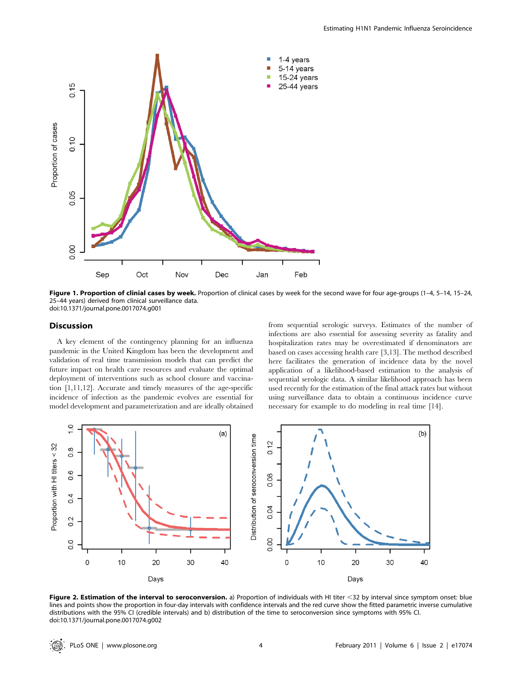

Figure 1. Proportion of clinial cases by week. Proportion of clinical cases by week for the second wave for four age-groups (1-4, 5-14, 15-24, 25–44 years) derived from clinical surveillance data. doi:10.1371/journal.pone.0017074.g001

## Discussion

A key element of the contingency planning for an influenza pandemic in the United Kingdom has been the development and validation of real time transmission models that can predict the future impact on health care resources and evaluate the optimal deployment of interventions such as school closure and vaccination [1,11,12]. Accurate and timely measures of the age-specific incidence of infection as the pandemic evolves are essential for model development and parameterization and are ideally obtained from sequential serologic surveys. Estimates of the number of infections are also essential for assessing severity as fatality and hospitalization rates may be overestimated if denominators are based on cases accessing health care [3,13]. The method described here facilitates the generation of incidence data by the novel application of a likelihood-based estimation to the analysis of sequential serologic data. A similar likelihood approach has been used recently for the estimation of the final attack rates but without using surveillance data to obtain a continuous incidence curve necessary for example to do modeling in real time [14].



Figure 2. Estimation of the interval to seroconversion. a) Proportion of individuals with HI titer <32 by interval since symptom onset: blue lines and points show the proportion in four-day intervals with confidence intervals and the red curve show the fitted parametric inverse cumulative distributions with the 95% CI (credible intervals) and b) distribution of the time to seroconversion since symptoms with 95% CI. doi:10.1371/journal.pone.0017074.g002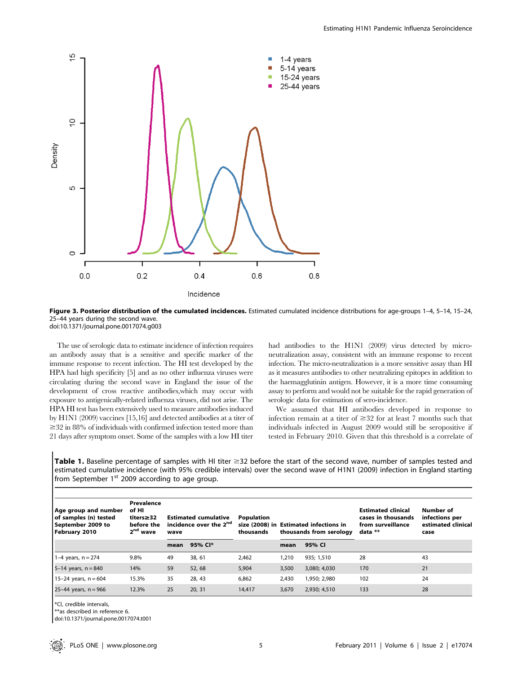



The use of serologic data to estimate incidence of infection requires an antibody assay that is a sensitive and specific marker of the immune response to recent infection. The HI test developed by the HPA had high specificity [5] and as no other influenza viruses were circulating during the second wave in England the issue of the development of cross reactive antibodies,which may occur with exposure to antigenically-related influenza viruses, did not arise. The HPA HI test has been extensively used to measure antibodies induced by H1N1 (2009) vaccines [15,16] and detected antibodies at a titer of  $\geq$ 32 in 88% of individuals with confirmed infection tested more than 21 days after symptom onset. Some of the samples with a low HI titer had antibodies to the H1N1 (2009) virus detected by microneutralization assay, consistent with an immune response to recent infection. The micro-neutralization is a more sensitive assay than HI as it measures antibodies to other neutralizing epitopes in addition to the haemagglutinin antigen. However, it is a more time consuming assay to perform and would not be suitable for the rapid generation of serologic data for estimation of sero-incidence.

We assumed that HI antibodies developed in response to infection remain at a titer of  $\geq$  32 for at least 7 months such that individuals infected in August 2009 would still be seropositive if tested in February 2010. Given that this threshold is a correlate of

Table 1. Baseline percentage of samples with HI titer  $\geq$ 32 before the start of the second wave, number of samples tested and estimated cumulative incidence (with 95% credible intervals) over the second wave of H1N1 (2009) infection in England starting from September 1<sup>st</sup> 2009 according to age group.

| Age group and number<br>of samples (n) tested<br>September 2009 to | Prevalence<br>of HI<br>titers≥32<br>before the<br>2 <sup>nd</sup> wave | <b>Estimated cumulative</b><br>incidence over the 2 <sup>nd</sup> |         | <b>Population</b><br>thousands | size (2008) in Estimated infections in<br>thousands from serology |              | <b>Estimated clinical</b><br>cases in thousands<br>from surveillance<br>data ** | Number of<br>infections per<br>estimated clinical |
|--------------------------------------------------------------------|------------------------------------------------------------------------|-------------------------------------------------------------------|---------|--------------------------------|-------------------------------------------------------------------|--------------|---------------------------------------------------------------------------------|---------------------------------------------------|
| February 2010                                                      |                                                                        | wave<br>mean                                                      | 95% CI* |                                | mean                                                              | 95% CI       |                                                                                 | case                                              |
| 1–4 years, $n = 274$                                               | 9.8%                                                                   | 49                                                                | 38, 61  | 2.462                          | 1,210                                                             | 935: 1.510   | 28                                                                              | 43                                                |
| 5–14 years, $n = 840$                                              | 14%                                                                    | 59                                                                | 52, 68  | 5,904                          | 3,500                                                             | 3,080; 4,030 | 170                                                                             | 21                                                |
| 15-24 years, $n = 604$                                             | 15.3%                                                                  | 35                                                                | 28, 43  | 6,862                          | 2.430                                                             | 1,950; 2,980 | 102                                                                             | 24                                                |
| 25-44 years, $n = 966$                                             | 12.3%                                                                  | 25                                                                | 20, 31  | 14,417                         | 3,670                                                             | 2,930; 4,510 | 133                                                                             | 28                                                |

\*CI, credible intervals,

\*\*as described in reference 6.

doi:10.1371/journal.pone.0017074.t001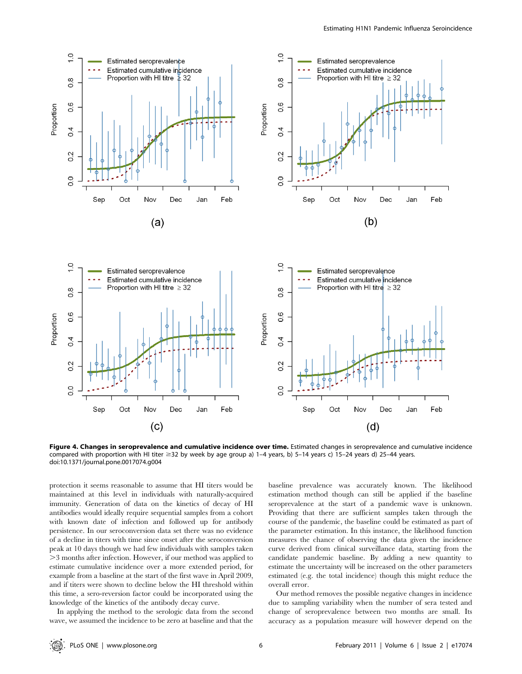

Figure 4. Changes in seroprevalence and cumulative incidence over time. Estimated changes in seroprevalence and cumulative incidence compared with proportion with HI titer  $\geq$ 32 by week by age group a) 1–4 years, b) 5–14 years c) 15–24 years d) 25–44 years. doi:10.1371/journal.pone.0017074.g004

protection it seems reasonable to assume that HI titers would be maintained at this level in individuals with naturally-acquired immunity. Generation of data on the kinetics of decay of HI antibodies would ideally require sequential samples from a cohort with known date of infection and followed up for antibody persistence. In our seroconversion data set there was no evidence of a decline in titers with time since onset after the seroconversion peak at 10 days though we had few individuals with samples taken .3 months after infection. However, if our method was applied to estimate cumulative incidence over a more extended period, for example from a baseline at the start of the first wave in April 2009, and if titers were shown to decline below the HI threshold within this time, a sero-reversion factor could be incorporated using the knowledge of the kinetics of the antibody decay curve.

In applying the method to the serologic data from the second wave, we assumed the incidence to be zero at baseline and that the

baseline prevalence was accurately known. The likelihood estimation method though can still be applied if the baseline seroprevalence at the start of a pandemic wave is unknown. Providing that there are sufficient samples taken through the course of the pandemic, the baseline could be estimated as part of the parameter estimation. In this instance, the likelihood function measures the chance of observing the data given the incidence curve derived from clinical surveillance data, starting from the candidate pandemic baseline. By adding a new quantity to estimate the uncertainty will be increased on the other parameters estimated (e.g. the total incidence) though this might reduce the overall error.

Our method removes the possible negative changes in incidence due to sampling variability when the number of sera tested and change of seroprevalence between two months are small. Its accuracy as a population measure will however depend on the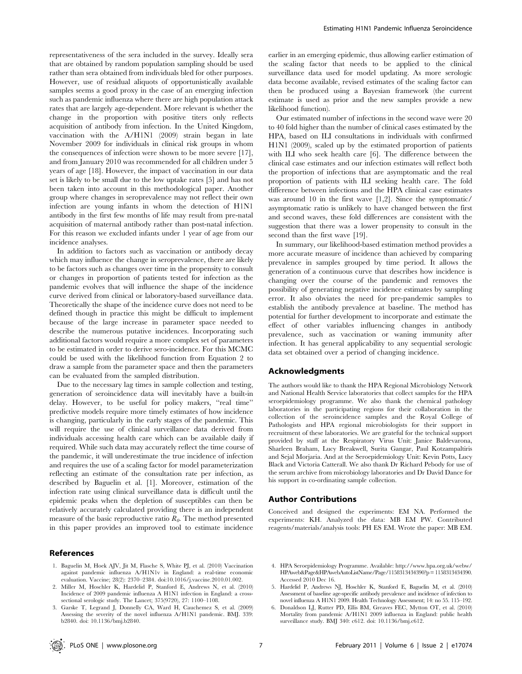representativeness of the sera included in the survey. Ideally sera that are obtained by random population sampling should be used rather than sera obtained from individuals bled for other purposes. However, use of residual aliquots of opportunistically available samples seems a good proxy in the case of an emerging infection such as pandemic influenza where there are high population attack rates that are largely age-dependent. More relevant is whether the change in the proportion with positive titers only reflects acquisition of antibody from infection. In the United Kingdom, vaccination with the A/H1N1 (2009) strain began in late November 2009 for individuals in clinical risk groups in whom the consequences of infection were shown to be more severe [17], and from January 2010 was recommended for all children under 5 years of age [18]. However, the impact of vaccination in our data set is likely to be small due to the low uptake rates [5] and has not been taken into account in this methodological paper. Another group where changes in seroprevalence may not reflect their own infection are young infants in whom the detection of H1N1 antibody in the first few months of life may result from pre-natal acquisition of maternal antibody rather than post-natal infection. For this reason we excluded infants under 1 year of age from our incidence analyses.

In addition to factors such as vaccination or antibody decay which may influence the change in seroprevalence, there are likely to be factors such as changes over time in the propensity to consult or changes in proportion of patients tested for infection as the pandemic evolves that will influence the shape of the incidence curve derived from clinical or laboratory-based surveillance data. Theoretically the shape of the incidence curve does not need to be defined though in practice this might be difficult to implement because of the large increase in parameter space needed to describe the numerous putative incidences. Incorporating such additional factors would require a more complex set of parameters to be estimated in order to derive sero-incidence. For this MCMC could be used with the likelihood function from Equation 2 to draw a sample from the parameter space and then the parameters can be evaluated from the sampled distribution.

Due to the necessary lag times in sample collection and testing, generation of seroincidence data will inevitably have a built-in delay. However, to be useful for policy makers, ''real time'' predictive models require more timely estimates of how incidence is changing, particularly in the early stages of the pandemic. This will require the use of clinical surveillance data derived from individuals accessing health care which can be available daily if required. While such data may accurately reflect the time course of the pandemic, it will underestimate the true incidence of infection and requires the use of a scaling factor for model parameterization reflecting an estimate of the consultation rate per infection, as described by Baguelin et al. [1]. Moreover, estimation of the infection rate using clinical surveillance data is difficult until the epidemic peaks when the depletion of susceptibles can then be relatively accurately calculated providing there is an independent measure of the basic reproductive ratio  $R_{\theta}$ . The method presented in this paper provides an improved tool to estimate incidence

## References

- 1. Baguelin M, Hoek AJV, Jit M, Flasche S, White PJ, et al. (2010) Vaccination against pandemic influenza A/H1N1v in England: a real-time economic evaluation. Vaccine; 28(2): 2370–2384. doi:10.1016/j.vaccine.2010.01.002.
- 2. Miller M, Hoschler K, Hardelid P, Stanford E, Andrews N, et al. (2010) Incidence of 2009 pandemic influenza A H1N1 infection in England: a crosssectional serologic study. The Lancet; 375(9720), 27: 1100–1108.
- 3. Garske T, Legrand J, Donnelly CA, Ward H, Cauchemez S, et al. (2009) Assessing the severity of the novel influenza A/H1N1 pandemic. BMJ. 339: b2840. doi: 10.1136/bmj.b2840.

earlier in an emerging epidemic, thus allowing earlier estimation of the scaling factor that needs to be applied to the clinical surveillance data used for model updating. As more serologic data become available, revised estimates of the scaling factor can then be produced using a Bayesian framework (the current estimate is used as prior and the new samples provide a new likelihood function).

Our estimated number of infections in the second wave were 20 to 40 fold higher than the number of clinical cases estimated by the HPA, based on ILI consultations in individuals with confirmed H1N1 (2009), scaled up by the estimated proportion of patients with ILI who seek health care [6]. The difference between the clinical case estimates and our infection estimates will reflect both the proportion of infections that are asymptomatic and the real proportion of patients with ILI seeking health care. The fold difference between infections and the HPA clinical case estimates was around 10 in the first wave [1,2]. Since the symptomatic/ asymptomatic ratio is unlikely to have changed between the first and second waves, these fold differences are consistent with the suggestion that there was a lower propensity to consult in the second than the first wave [19].

In summary, our likelihood-based estimation method provides a more accurate measure of incidence than achieved by comparing prevalence in samples grouped by time period. It allows the generation of a continuous curve that describes how incidence is changing over the course of the pandemic and removes the possibility of generating negative incidence estimates by sampling error. It also obviates the need for pre-pandemic samples to establish the antibody prevalence at baseline. The method has potential for further development to incorporate and estimate the effect of other variables influencing changes in antibody prevalence, such as vaccination or waning immunity after infection. It has general applicability to any sequential serologic data set obtained over a period of changing incidence.

#### Acknowledgments

The authors would like to thank the HPA Regional Microbiology Network and National Health Service laboratories that collect samples for the HPA seroepidemiology programme. We also thank the chemical pathology laboratories in the participating regions for their collaboration in the collection of the seroincidence samples and the Royal College of Pathologists and HPA regional microbiologists for their support in recruitment of these laboratories. We are grateful for the technical support provided by staff at the Respiratory Virus Unit: Janice Baldevarona, Sharleen Braham, Lucy Breakwell, Surita Gangar, Paul Kotzampaltiris and Sejal Morjaria. And at the Seroepidemiology Unit: Kevin Potts, Lucy Black and Victoria Catterall. We also thank Dr Richard Pebody for use of the serum archive from microbiology laboratories and Dr David Dance for his support in co-ordinating sample collection.

#### Author Contributions

Conceived and designed the experiments: EM NA. Performed the experiments: KH. Analyzed the data: MB EM PW. Contributed reagents/materials/analysis tools: PH ES EM. Wrote the paper: MB EM.

- 4. HPA Seroepidemiology Programme. Available: http://www.hpa.org.uk/webw/ HPAweb&Page&HPAwebAutoListName/Page/1158313434390?p= 1158313434390. Accessed 2010 Dec 16.
- 5. Hardelid P, Andrews NJ, Hoschler K, Stanford E, Baguelin M, et al. (2010) Assessment of baseline age-specific antibody prevalence and incidence of infection to novel influenza A H1N1 2009. Health Technology Assessment; 14: no 55. 115–192.
- 6. Donaldson LJ, Rutter PD, Ellis BM, Greaves FEC, Mytton OT, et al. (2010) Mortality from pandemic A/H1N1 2009 influenza in England: public health surveillance study. BMJ 340: c612. doi: 10.1136/bmj.c612.